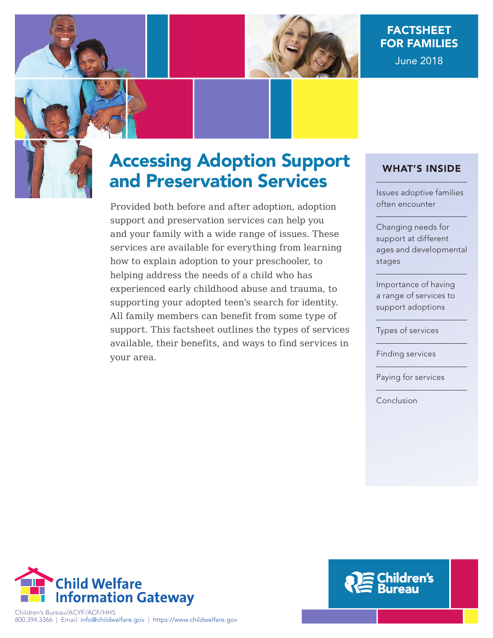

# FACTSHEET FOR FAMILIES June 2018

# Accessing Adoption Support and Preservation Services

Provided both before and after adoption, adoption support and preservation services can help you and your family with a wide range of issues. These services are available for everything from learning how to explain adoption to your preschooler, to helping address the needs of a child who has experienced early childhood abuse and trauma, to supporting your adopted teen's search for identity. All family members can benefit from some type of support. This factsheet outlines the types of services available, their benefits, and ways to find services in your area.

### WHAT'S INSIDE

[Issues adoptive families](#page-1-0)  often encounter

Changing needs for support at different [ages and developmental](#page-4-0)  stages

Importance of having [a range of services to](#page-5-0)  support adoptions

[Types of services](#page-5-0)

[Finding services](#page-10-0)

[Paying for services](#page-11-0)

[Conclusion](#page-12-0)



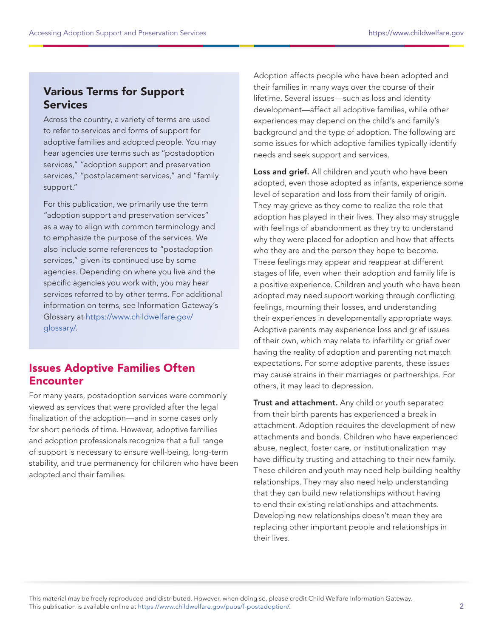### <span id="page-1-0"></span>Various Terms for Support Services

Across the country, a variety of terms are used to refer to services and forms of support for adoptive families and adopted people. You may hear agencies use terms such as "postadoption services," "adoption support and preservation services," "postplacement services," and "family support."

For this publication, we primarily use the term "adoption support and preservation services" as a way to align with common terminology and to emphasize the purpose of the services. We also include some references to "postadoption services," given its continued use by some agencies. Depending on where you live and the specific agencies you work with, you may hear services referred to by other terms. For additional information on terms, see Information Gateway's Glossary at [https://www.childwelfare.gov/](https://www.childwelfare.gov/glossary/) [glossary/.](https://www.childwelfare.gov/glossary/)

### Issues Adoptive Families Often **Encounter**

For many years, postadoption services were commonly viewed as services that were provided after the legal finalization of the adoption—and in some cases only for short periods of time. However, adoptive families and adoption professionals recognize that a full range of support is necessary to ensure well-being, long-term stability, and true permanency for children who have been adopted and their families.

Adoption affects people who have been adopted and their families in many ways over the course of their lifetime. Several issues—such as loss and identity development—affect all adoptive families, while other experiences may depend on the child's and family's background and the type of adoption. The following are some issues for which adoptive families typically identify needs and seek support and services.

Loss and grief. All children and youth who have been adopted, even those adopted as infants, experience some level of separation and loss from their family of origin. They may grieve as they come to realize the role that adoption has played in their lives. They also may struggle with feelings of abandonment as they try to understand why they were placed for adoption and how that affects who they are and the person they hope to become. These feelings may appear and reappear at different stages of life, even when their adoption and family life is a positive experience. Children and youth who have been adopted may need support working through conflicting feelings, mourning their losses, and understanding their experiences in developmentally appropriate ways. Adoptive parents may experience loss and grief issues of their own, which may relate to infertility or grief over having the reality of adoption and parenting not match expectations. For some adoptive parents, these issues may cause strains in their marriages or partnerships. For others, it may lead to depression.

Trust and attachment. Any child or youth separated from their birth parents has experienced a break in attachment. Adoption requires the development of new attachments and bonds. Children who have experienced abuse, neglect, foster care, or institutionalization may have difficulty trusting and attaching to their new family. These children and youth may need help building healthy relationships. They may also need help understanding that they can build new relationships without having to end their existing relationships and attachments. Developing new relationships doesn't mean they are replacing other important people and relationships in their lives.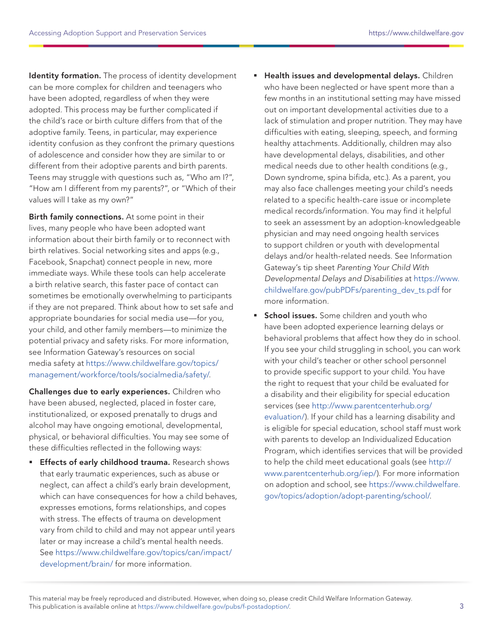Identity formation. The process of identity development can be more complex for children and teenagers who have been adopted, regardless of when they were adopted. This process may be further complicated if the child's race or birth culture differs from that of the adoptive family. Teens, in particular, may experience identity confusion as they confront the primary questions of adolescence and consider how they are similar to or different from their adoptive parents and birth parents. Teens may struggle with questions such as, "Who am I?", "How am I different from my parents?", or "Which of their values will I take as my own?"

Birth family connections. At some point in their lives, many people who have been adopted want information about their birth family or to reconnect with birth relatives. Social networking sites and apps (e.g., Facebook, Snapchat) connect people in new, more immediate ways. While these tools can help accelerate a birth relative search, this faster pace of contact can sometimes be emotionally overwhelming to participants if they are not prepared. Think about how to set safe and appropriate boundaries for social media use—for you, your child, and other family members—to minimize the potential privacy and safety risks. For more information, see Information Gateway's resources on social media safety at [https://www.childwelfare.gov/topics/](https://www.childwelfare.gov/topics/management/workforce/tools/socialmedia/safety/) [management/workforce/tools/socialmedia/safety/](https://www.childwelfare.gov/topics/management/workforce/tools/socialmedia/safety/).

Challenges due to early experiences. Children who have been abused, neglected, placed in foster care, institutionalized, or exposed prenatally to drugs and alcohol may have ongoing emotional, developmental, physical, or behavioral difficulties. You may see some of these difficulties reflected in the following ways:

**Effects of early childhood trauma.** Research shows that early traumatic experiences, such as abuse or neglect, can affect a child's early brain development, which can have consequences for how a child behaves, expresses emotions, forms relationships, and copes with stress. The effects of trauma on development vary from child to child and may not appear until years later or may increase a child's mental health needs. See [https://www.childwelfare.gov/topics/can/impact/](https://www.childwelfare.gov/topics/can/impact/development/brain/) [development/brain/ for more information.](https://www.childwelfare.gov/topics/can/impact/development/brain/)

- **Health issues and developmental delays.** Children who have been neglected or have spent more than a few months in an institutional setting may have missed out on important developmental activities due to a lack of stimulation and proper nutrition. They may have difficulties with eating, sleeping, speech, and forming healthy attachments. Additionally, children may also have developmental delays, disabilities, and other medical needs due to other health conditions (e.g., Down syndrome, spina bifida, etc.). As a parent, you may also face challenges meeting your child's needs related to a specific health-care issue or incomplete medical records/information. You may find it helpful to seek an assessment by an adoption-knowledgeable physician and may need ongoing health services to support children or youth with developmental delays and/or health-related needs. See Information Gateway's tip sheet Parenting Your Child With Developmental Delays and Disabilities at [https://www.](https://www.childwelfare.gov/pubPDFs/parenting_dev_ts.pdf) [childwelfare.gov/pubPDFs/parenting\\_dev\\_ts.pdf](https://www.childwelfare.gov/pubPDFs/parenting_dev_ts.pdf) for more information.
- School issues. Some children and youth who have been adopted experience learning delays or behavioral problems that affect how they do in school. If you see your child struggling in school, you can work with your child's teacher or other school personnel to provide specific support to your child. You have the right to request that your child be evaluated for a disability and their eligibility for special education services (see [http://www.parentcenterhub.org/](http://www.parentcenterhub.org/evaluation/) [evaluation/\)](http://www.parentcenterhub.org/evaluation/). If your child has a learning disability and is eligible for special education, school staff must work with parents to develop an Individualized Education Program, which identifies services that will be provided to help the child meet educational goals (see [http://](http://www.parentcenterhub.org/iep/) [www.parentcenterhub.org/iep/](http://www.parentcenterhub.org/iep/)). For more information on adoption and school, see [https://www.childwelfare.](https://www.childwelfare.gov/topics/adoption/adopt-parenting/school/) [gov/topics/adoption/adopt-parenting/school/.](https://www.childwelfare.gov/topics/adoption/adopt-parenting/school/)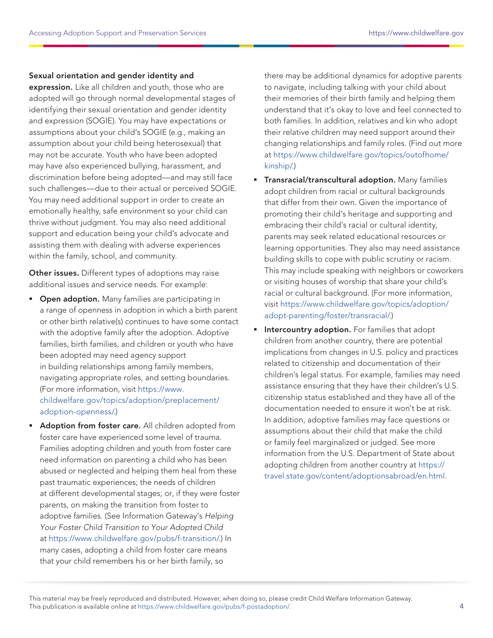#### Sexual orientation and gender identity and

expression. Like all children and youth, those who are adopted will go through normal developmental stages of identifying their sexual orientation and gender identity and expression (SOGIE). You may have expectations or assumptions about your child's SOGIE (e.g., making an assumption about your child being heterosexual) that may not be accurate. Youth who have been adopted may have also experienced bullying, harassment, and discrimination before being adopted—and may still face such challenges—due to their actual or perceived SOGIE. You may need additional support in order to create an emotionally healthy, safe environment so your child can thrive without judgment. You may also need additional support and education being your child's advocate and assisting them with dealing with adverse experiences within the family, school, and community.

Other issues. Different types of adoptions may raise additional issues and service needs. For example:

- **Dpen adoption.** Many families are participating in a range of openness in adoption in which a birth parent or other birth relative(s) continues to have some contact with the adoptive family after the adoption. Adoptive families, birth families, and children or youth who have been adopted may need agency support in building relationships among family members, navigating appropriate roles, and setting boundaries. (For more information, visit [https://www.](https://www.childwelfare.gov/topics/adoption/preplacement/adoption-openness/) [childwelfare.gov/topics/adoption/preplacement/](https://www.childwelfare.gov/topics/adoption/preplacement/adoption-openness/) [adoption-openness/.](https://www.childwelfare.gov/topics/adoption/preplacement/adoption-openness/))
- Adoption from foster care. All children adopted from foster care have experienced some level of trauma. Families adopting children and youth from foster care need information on parenting a child who has been abused or neglected and helping them heal from these past traumatic experiences; the needs of children at different developmental stages; or, if they were foster parents, on making the transition from foster to adoptive families. (See Information Gateway's Helping Your Foster Child Transition to Your Adopted Child at [https://www.childwelfare.gov/pubs/f-transition/.](https://www.childwelfare.gov/pubs/f-transition/)) In many cases, adopting a child from foster care means that your child remembers his or her birth family, so

there may be additional dynamics for adoptive parents to navigate, including talking with your child about their memories of their birth family and helping them understand that it's okay to love and feel connected to both families. In addition, relatives and kin who adopt their relative children may need support around their changing relationships and family roles. (Find out more at [https://www.childwelfare.gov/topics/outofhome/](https://www.childwelfare.gov/topics/outofhome/kinship/) [kinship/.](https://www.childwelfare.gov/topics/outofhome/kinship/))

- **Transracial/transcultural adoption.** Many families adopt children from racial or cultural backgrounds that differ from their own. Given the importance of promoting their child's heritage and supporting and embracing their child's racial or cultural identity, parents may seek related educational resources or learning opportunities. They also may need assistance building skills to cope with public scrutiny or racism. This may include speaking with neighbors or coworkers or visiting houses of worship that share your child's racial or cultural background. (For more information, visit [https://www.childwelfare.gov/topics/adoption/](https://www.childwelfare.gov/topics/adoption/adopt-parenting/foster/transracial/) [adopt-parenting/foster/transracial/.](https://www.childwelfare.gov/topics/adoption/adopt-parenting/foster/transracial/))
- **Intercountry adoption.** For families that adopt children from another country, there are potential implications from changes in U.S. policy and practices related to citizenship and documentation of their children's legal status. For example, families may need assistance ensuring that they have their children's U.S. citizenship status established and they have all of the documentation needed to ensure it won't be at risk. In addition, adoptive families may face questions or assumptions about their child that make the child or family feel marginalized or judged. See more information from the U.S. Department of State about adopting children from another country at [https://](https://travel.state.gov/content/adoptionsabroad/en.html) [travel.state.gov/content/adoptionsabroad/en.html.](https://travel.state.gov/content/adoptionsabroad/en.html)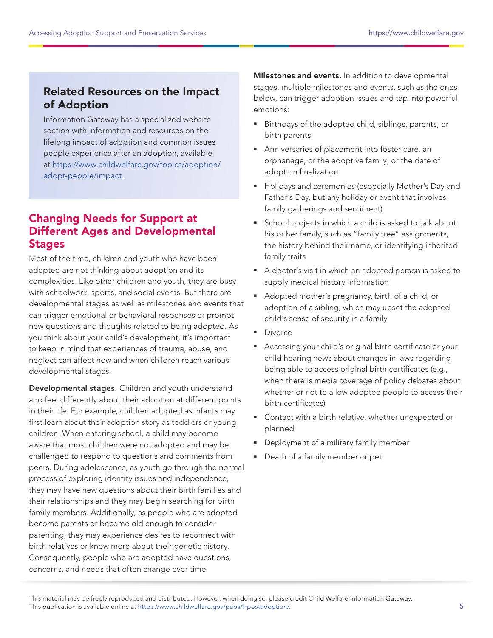### <span id="page-4-0"></span>Related Resources on the Impact of Adoption

Information Gateway has a specialized website section with information and resources on the lifelong impact of adoption and common issues people experience after an adoption, available at [https://www.childwelfare.gov/topics/adoption/](https://www.childwelfare.gov/topics/adoption/adopt-people/impact) [adopt-people/impact](https://www.childwelfare.gov/topics/adoption/adopt-people/impact).

### Changing Needs for Support at Different Ages and Developmental **Stages**

Most of the time, children and youth who have been adopted are not thinking about adoption and its complexities. Like other children and youth, they are busy with schoolwork, sports, and social events. But there are developmental stages as well as milestones and events that can trigger emotional or behavioral responses or prompt new questions and thoughts related to being adopted. As you think about your child's development, it's important to keep in mind that experiences of trauma, abuse, and neglect can affect how and when children reach various developmental stages.

Developmental stages. Children and youth understand and feel differently about their adoption at different points in their life. For example, children adopted as infants may first learn about their adoption story as toddlers or young children. When entering school, a child may become aware that most children were not adopted and may be challenged to respond to questions and comments from peers. During adolescence, as youth go through the normal process of exploring identity issues and independence, they may have new questions about their birth families and their relationships and they may begin searching for birth family members. Additionally, as people who are adopted become parents or become old enough to consider parenting, they may experience desires to reconnect with birth relatives or know more about their genetic history. Consequently, people who are adopted have questions, concerns, and needs that often change over time.

Milestones and events. In addition to developmental stages, multiple milestones and events, such as the ones below, can trigger adoption issues and tap into powerful emotions:

- Birthdays of the adopted child, siblings, parents, or birth parents
- Anniversaries of placement into foster care, an orphanage, or the adoptive family; or the date of adoption finalization
- **Holidays and ceremonies (especially Mother's Day and** Father's Day, but any holiday or event that involves family gatherings and sentiment)
- **School projects in which a child is asked to talk about** his or her family, such as "family tree" assignments, the history behind their name, or identifying inherited family traits
- A doctor's visit in which an adopted person is asked to supply medical history information
- Adopted mother's pregnancy, birth of a child, or adoption of a sibling, which may upset the adopted child's sense of security in a family
- **Divorce**
- Accessing your child's original birth certificate or your child hearing news about changes in laws regarding being able to access original birth certificates (e.g., when there is media coverage of policy debates about whether or not to allow adopted people to access their birth certificates)
- Contact with a birth relative, whether unexpected or planned
- Deployment of a military family member
- **Death of a family member or pet**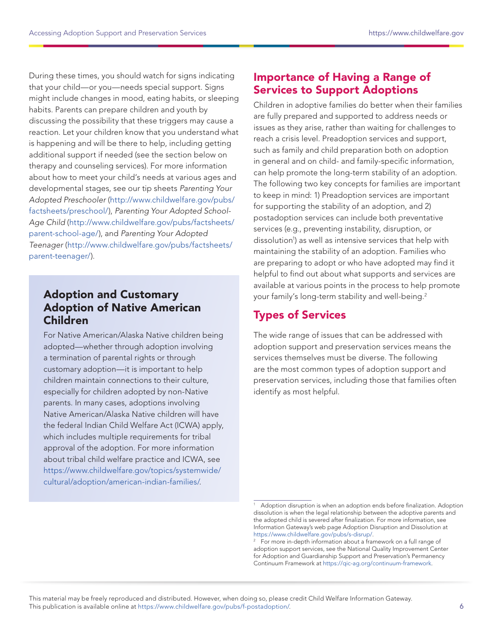<span id="page-5-0"></span>During these times, you should watch for signs indicating that your child—or you—needs special support. Signs might include changes in mood, eating habits, or sleeping habits. Parents can prepare children and youth by discussing the possibility that these triggers may cause a reaction. Let your children know that you understand what is happening and will be there to help, including getting additional support if needed (see the section below on therapy and counseling services). For more information about how to meet your child's needs at various ages and developmental stages, see our tip sheets Parenting Your Adopted Preschooler ([http://www.childwelfare.gov/pubs/](http://www.childwelfare.gov/pubs/factsheets/preschool/) [factsheets/preschool/\)](http://www.childwelfare.gov/pubs/factsheets/preschool/), Parenting Your Adopted School-Age Child ([http://www.childwelfare.gov/pubs/factsheets/](http://www.childwelfare.gov/pubs/factsheets/parent-school-age/) [parent-school-age/\)](http://www.childwelfare.gov/pubs/factsheets/parent-school-age/), and Parenting Your Adopted Teenager ([http://www.childwelfare.gov/pubs/factsheets/](http://www.childwelfare.gov/pubs/factsheets/parent-teenager/) [parent-teenager/\)](http://www.childwelfare.gov/pubs/factsheets/parent-teenager/).

### Adoption and Customary Adoption of Native American Children

For Native American/Alaska Native children being adopted—whether through adoption involving a termination of parental rights or through customary adoption—it is important to help children maintain connections to their culture, especially for children adopted by non-Native parents. In many cases, adoptions involving Native American/Alaska Native children will have the federal Indian Child Welfare Act (ICWA) apply, which includes multiple requirements for tribal approval of the adoption. For more information about tribal child welfare practice and ICWA, see [https://www.childwelfare.gov/topics/systemwide/](https://www.childwelfare.gov/topics/systemwide/cultural/adoption/american-indian-families/) [cultural/adoption/american-indian-families/.](https://www.childwelfare.gov/topics/systemwide/cultural/adoption/american-indian-families/)

## Importance of Having a Range of Services to Support Adoptions

Children in adoptive families do better when their families are fully prepared and supported to address needs or issues as they arise, rather than waiting for challenges to reach a crisis level. Preadoption services and support, such as family and child preparation both on adoption in general and on child- and family-specific information, can help promote the long-term stability of an adoption. The following two key concepts for families are important to keep in mind: 1) Preadoption services are important for supporting the stability of an adoption, and 2) postadoption services can include both preventative services (e.g., preventing instability, disruption, or dissolution1 ) as well as intensive services that help with maintaining the stability of an adoption. Families who are preparing to adopt or who have adopted may find it helpful to find out about what supports and services are available at various points in the process to help promote your family's long-term stability and well-being.2

# Types of Services

The wide range of issues that can be addressed with adoption support and preservation services means the services themselves must be diverse. The following are the most common types of adoption support and preservation services, including those that families often identify as most helpful.

Adoption disruption is when an adoption ends before finalization. Adoption dissolution is when the legal relationship between the adoptive parents and the adopted child is severed after finalization. For more information, see Information Gateway's web page Adoption Disruption and Dissolution at [https://www.childwelfare.gov/pubs/s-disrup/.](https://www.childwelfare.gov/pubs/s-disrup/)

<sup>&</sup>lt;sup>2</sup> For more in-depth information about a framework on a full range of adoption support services, see the National Quality Improvement Center for Adoption and Guardianship Support and Preservation's Permanency Continuum Framework at [https://qic-ag.org/continuum-framework.](https://qic-ag.org/continuum-framework)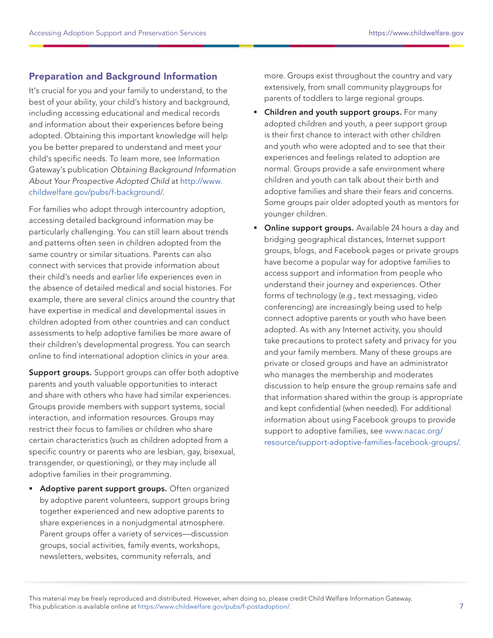### Preparation and Background Information

It's crucial for you and your family to understand, to the best of your ability, your child's history and background, including accessing educational and medical records and information about their experiences before being adopted. Obtaining this important knowledge will help you be better prepared to understand and meet your child's specific needs. To learn more, see Information Gateway's publication Obtaining Background Information About Your Prospective Adopted Child at [http://www.](http://www.childwelfare.gov/pubs/f-background/) [childwelfare.gov/pubs/f-background/.](http://www.childwelfare.gov/pubs/f-background/)

For families who adopt through intercountry adoption, accessing detailed background information may be particularly challenging. You can still learn about trends and patterns often seen in children adopted from the same country or similar situations. Parents can also connect with services that provide information about their child's needs and earlier life experiences even in the absence of detailed medical and social histories. For example, there are several clinics around the country that have expertise in medical and developmental issues in children adopted from other countries and can conduct assessments to help adoptive families be more aware of their children's developmental progress. You can search online to find international adoption clinics in your area.

Support groups. Support groups can offer both adoptive parents and youth valuable opportunities to interact and share with others who have had similar experiences. Groups provide members with support systems, social interaction, and information resources. Groups may restrict their focus to families or children who share certain characteristics (such as children adopted from a specific country or parents who are lesbian, gay, bisexual, transgender, or questioning), or they may include all adoptive families in their programming.

**Adoptive parent support groups.** Often organized by adoptive parent volunteers, support groups bring together experienced and new adoptive parents to share experiences in a nonjudgmental atmosphere. Parent groups offer a variety of services—discussion groups, social activities, family events, workshops, newsletters, websites, community referrals, and

more. Groups exist throughout the country and vary extensively, from small community playgroups for parents of toddlers to large regional groups.

- **EXECT** Children and youth support groups. For many adopted children and youth, a peer support group is their first chance to interact with other children and youth who were adopted and to see that their experiences and feelings related to adoption are normal. Groups provide a safe environment where children and youth can talk about their birth and adoptive families and share their fears and concerns. Some groups pair older adopted youth as mentors for younger children.
- **Online support groups.** Available 24 hours a day and bridging geographical distances, Internet support groups, blogs, and Facebook pages or private groups have become a popular way for adoptive families to access support and information from people who understand their journey and experiences. Other forms of technology (e.g., text messaging, video conferencing) are increasingly being used to help connect adoptive parents or youth who have been adopted. As with any Internet activity, you should take precautions to protect safety and privacy for you and your family members. Many of these groups are private or closed groups and have an administrator who manages the membership and moderates discussion to help ensure the group remains safe and that information shared within the group is appropriate and kept confidential (when needed). For additional information about using Facebook groups to provide support to adoptive families, see [www.nacac.org/](http://www.nacac.org/resource/support-adoptive-families-facebook-groups/) [resource/support-adoptive-families-facebook-groups/](http://www.nacac.org/resource/support-adoptive-families-facebook-groups/).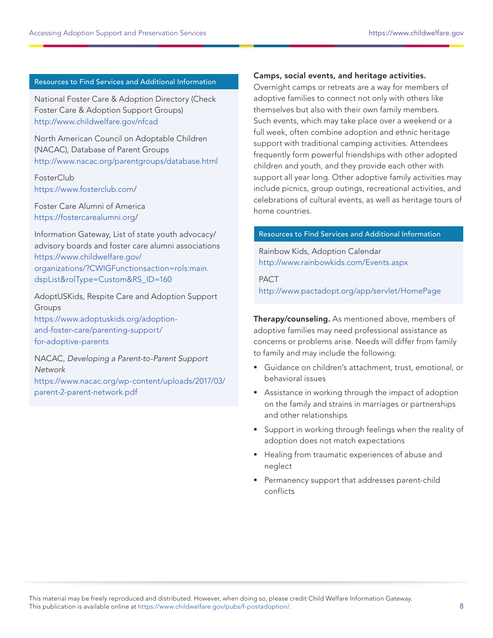#### Resources to Find Services and Additional Information

National Foster Care & Adoption Directory (Check Foster Care & Adoption Support Groups) <http://www.childwelfare.gov/nfcad>

North American Council on Adoptable Children (NACAC), Database of Parent Groups <http://www.nacac.org/parentgroups/database.html>

**FosterClub** <https://www.fosterclub.com>/

Foster Care Alumni of America [https://fostercarealumni.org/](https://fostercarealumni.org)

Information Gateway, List of state youth advocacy/ advisory boards and foster care alumni associations [https://www.childwelfare.gov/](https://www.childwelfare.gov/organizations/?CWIGFunctionsaction=rols:main.dspList&rolType=Custom&RS_ID=160) [organizations/?CWIGFunctionsaction=rols:main.](https://www.childwelfare.gov/organizations/?CWIGFunctionsaction=rols:main.dspList&rolType=Custom&RS_ID=160) [dspList&rolType=Custom&RS\\_ID=160](https://www.childwelfare.gov/organizations/?CWIGFunctionsaction=rols:main.dspList&rolType=Custom&RS_ID=160)

AdoptUSKids, Respite Care and Adoption Support Groups [https://www.adoptuskids.org/adoption](https://www.adoptuskids.org/adoption-and-foster-care/parenting-support/for-adoptive-parents)[and-foster-care/parenting-support/](https://www.adoptuskids.org/adoption-and-foster-care/parenting-support/for-adoptive-parents) [for-adoptive-parents](https://www.adoptuskids.org/adoption-and-foster-care/parenting-support/for-adoptive-parents)

NACAC, Developing a Parent-to-Parent Support **Network** [https://www.nacac.org/wp-content/uploads/2017/03/](https://www.nacac.org/wp-content/uploads/2017/03/parent-2-parent-network.pdf) [parent-2-parent-network.pdf](https://www.nacac.org/wp-content/uploads/2017/03/parent-2-parent-network.pdf)

#### Camps, social events, and heritage activities.

Overnight camps or retreats are a way for members of adoptive families to connect not only with others like themselves but also with their own family members. Such events, which may take place over a weekend or a full week, often combine adoption and ethnic heritage support with traditional camping activities. Attendees frequently form powerful friendships with other adopted children and youth, and they provide each other with support all year long. Other adoptive family activities may include picnics, group outings, recreational activities, and celebrations of cultural events, as well as heritage tours of home countries.

#### Resources to Find Services and Additional Information

Rainbow Kids, Adoption Calendar <http://www.rainbowkids.com/Events.aspx>

PACT <http://www.pactadopt.org/app/servlet/HomePage>

Therapy/counseling. As mentioned above, members of adoptive families may need professional assistance as concerns or problems arise. Needs will differ from family to family and may include the following:

- Guidance on children's attachment, trust, emotional, or behavioral issues
- Assistance in working through the impact of adoption on the family and strains in marriages or partnerships and other relationships
- Support in working through feelings when the reality of adoption does not match expectations
- **Healing from traumatic experiences of abuse and** neglect
- Permanency support that addresses parent-child conflicts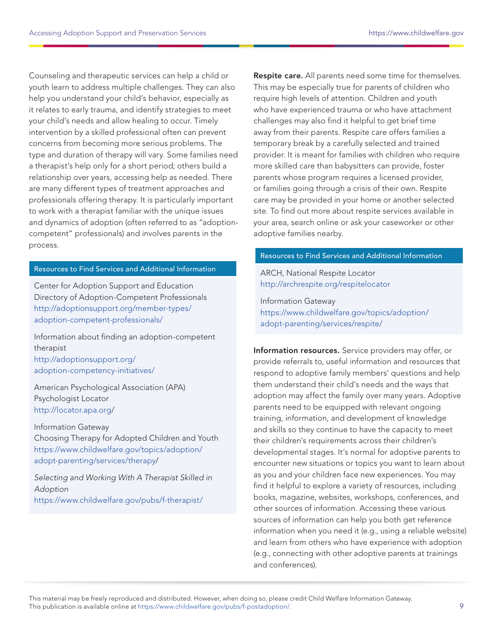Counseling and therapeutic services can help a child or youth learn to address multiple challenges. They can also help you understand your child's behavior, especially as it relates to early trauma, and identify strategies to meet your child's needs and allow healing to occur. Timely intervention by a skilled professional often can prevent concerns from becoming more serious problems. The type and duration of therapy will vary. Some families need a therapist's help only for a short period; others build a relationship over years, accessing help as needed. There are many different types of treatment approaches and professionals offering therapy. It is particularly important to work with a therapist familiar with the unique issues and dynamics of adoption (often referred to as "adoptioncompetent" professionals) and involves parents in the process.

#### Resources to Find Services and Additional Information

Center for Adoption Support and Education Directory of Adoption-Competent Professionals [http://adoptionsupport.org/member-types/](http://adoptionsupport.org/member-types/adoption-competent-professionals/) [adoption-competent-professionals/](http://adoptionsupport.org/member-types/adoption-competent-professionals/)

Information about finding an adoption-competent therapist [http://adoptionsupport.org/](http://adoptionsupport.org/adoption-competency-initiatives/) [adoption-competency-initiatives/](http://adoptionsupport.org/adoption-competency-initiatives/)

American Psychological Association (APA) Psychologist Locator <http://locator.apa.org>/

Information Gateway Choosing Therapy for Adopted Children and Youth [https://www.childwelfare.gov/topics/adoption/](https://www.childwelfare.gov/topics/adoption/adopt-parenting/services/therapy) [adopt-parenting/services/therapy](https://www.childwelfare.gov/topics/adoption/adopt-parenting/services/therapy)/

Selecting and Working With A Therapist Skilled in Adoption <https://www.childwelfare.gov/pubs/f-therapist/>

Respite care. All parents need some time for themselves. This may be especially true for parents of children who require high levels of attention. Children and youth who have experienced trauma or who have attachment challenges may also find it helpful to get brief time away from their parents. Respite care offers families a temporary break by a carefully selected and trained provider. It is meant for families with children who require more skilled care than babysitters can provide, foster parents whose program requires a licensed provider, or families going through a crisis of their own. Respite care may be provided in your home or another selected site. To find out more about respite services available in your area, search online or ask your caseworker or other adoptive families nearby.

#### Resources to Find Services and Additional Information

ARCH, National Respite Locator <http://archrespite.org/respitelocator>

Information Gateway [https://www.childwelfare.gov/topics/adoption/](https://www.childwelfare.gov/topics/adoption/adopt-parenting/services/respite/) [adopt-parenting/services/respite/](https://www.childwelfare.gov/topics/adoption/adopt-parenting/services/respite/)

Information resources. Service providers may offer, or provide referrals to, useful information and resources that respond to adoptive family members' questions and help them understand their child's needs and the ways that adoption may affect the family over many years. Adoptive parents need to be equipped with relevant ongoing training, information, and development of knowledge and skills so they continue to have the capacity to meet their children's requirements across their children's developmental stages. It's normal for adoptive parents to encounter new situations or topics you want to learn about as you and your children face new experiences. You may find it helpful to explore a variety of resources, including books, magazine, websites, workshops, conferences, and other sources of information. Accessing these various sources of information can help you both get reference information when you need it (e.g., using a reliable website) and learn from others who have experience with adoption (e.g., connecting with other adoptive parents at trainings and conferences).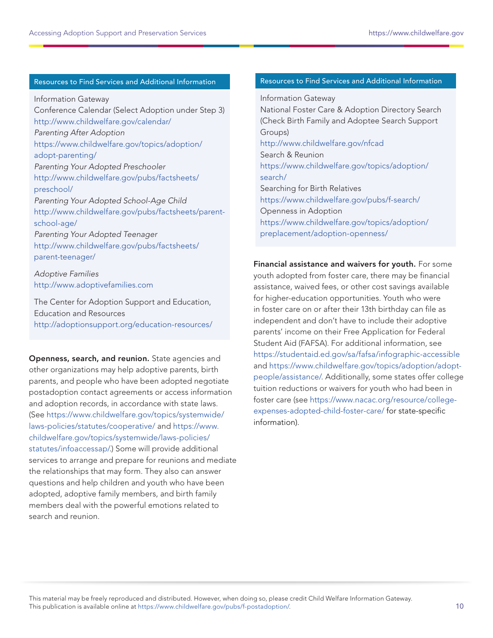#### Resources to Find Services and Additional Information

Information Gateway Conference Calendar (Select Adoption under Step 3) <http://www.childwelfare.gov/calendar/> Parenting After Adoption [https://www.childwelfare.gov/topics/adoption/](https://www.childwelfare.gov/topics/adoption/adopt-parenting/) [adopt-parenting/](https://www.childwelfare.gov/topics/adoption/adopt-parenting/) Parenting Your Adopted Preschooler [http://www.childwelfare.gov/pubs/factsheets/](http://www.childwelfare.gov/pubs/factsheets/preschool/) [preschool/](http://www.childwelfare.gov/pubs/factsheets/preschool/) Parenting Your Adopted School-Age Child [http://www.childwelfare.gov/pubs/factsheets/parent](http://www.childwelfare.gov/pubs/factsheets/parent-school-age/)[school-age/](http://www.childwelfare.gov/pubs/factsheets/parent-school-age/) Parenting Your Adopted Teenager [http://www.childwelfare.gov/pubs/factsheets/](http://www.childwelfare.gov/pubs/factsheets/parent-teenager/) [parent-teenager/](http://www.childwelfare.gov/pubs/factsheets/parent-teenager/) Adoptive Families

<http://www.adoptivefamilies.com>

The Center for Adoption Support and Education, Education and Resources <http://adoptionsupport.org/education-resources/>

Openness, search, and reunion. State agencies and other organizations may help adoptive parents, birth parents, and people who have been adopted negotiate postadoption contact agreements or access information and adoption records, in accordance with state laws. (See [https://www.childwelfare.gov/topics/systemwide/](https://www.childwelfare.gov/topics/systemwide/laws-policies/statutes/cooperative/) [laws-policies/statutes/cooperative/](https://www.childwelfare.gov/topics/systemwide/laws-policies/statutes/cooperative/) and [https://www.](https://www.childwelfare.gov/topics/systemwide/laws-policies/statutes/infoaccessap/) [childwelfare.gov/topics/systemwide/laws-policies/](https://www.childwelfare.gov/topics/systemwide/laws-policies/statutes/infoaccessap/) [statutes/infoaccessap/](https://www.childwelfare.gov/topics/systemwide/laws-policies/statutes/infoaccessap/).) Some will provide additional services to arrange and prepare for reunions and mediate the relationships that may form. They also can answer questions and help children and youth who have been adopted, adoptive family members, and birth family members deal with the powerful emotions related to search and reunion.

#### Resources to Find Services and Additional Information

Information Gateway National Foster Care & Adoption Directory Search (Check Birth Family and Adoptee Search Support Groups) <http://www.childwelfare.gov/nfcad> Search & Reunion [https://www.childwelfare.gov/topics/adoption/](https://www.childwelfare.gov/topics/adoption/search/) [search/](https://www.childwelfare.gov/topics/adoption/search/) Searching for Birth Relatives <https://www.childwelfare.gov/pubs/f-search/> Openness in Adoption [https://www.childwelfare.gov/topics/adoption/](https://www.childwelfare.gov/topics/adoption/preplacement/adoption-openness/) [preplacement/adoption-openness/](https://www.childwelfare.gov/topics/adoption/preplacement/adoption-openness/)

Financial assistance and waivers for youth. For some youth adopted from foster care, there may be financial assistance, waived fees, or other cost savings available for higher-education opportunities. Youth who were in foster care on or after their 13th birthday can file as independent and don't have to include their adoptive parents' income on their Free Application for Federal Student Aid (FAFSA). For additional information, see <https://studentaid.ed.gov/sa/fafsa/infographic-accessible> and [https://www.childwelfare.gov/topics/adoption/adopt](https://www.childwelfare.gov/topics/adoption/adopt-people/assistance/)[people/assistance/.](https://www.childwelfare.gov/topics/adoption/adopt-people/assistance/) Additionally, some states offer college tuition reductions or waivers for youth who had been in foster care (see [https://www.nacac.org/resource/college](https://www.nacac.org/resource/college-expenses-adopted-child-foster-care/)[expenses-adopted-child-foster-care/](https://www.nacac.org/resource/college-expenses-adopted-child-foster-care/) for state-specific information).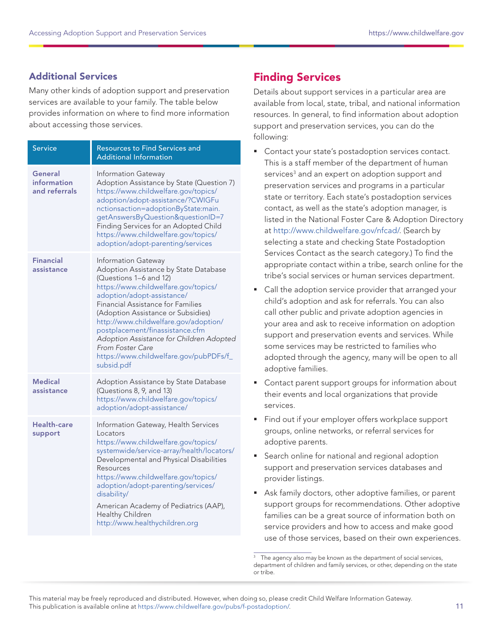### <span id="page-10-0"></span>Additional Services

Many other kinds of adoption support and preservation services are available to your family. The table below provides information on where to find more information about accessing those services.

| <b>Service</b>                          | <b>Resources to Find Services and</b><br><b>Additional Information</b>                                                                                                                                                                                                                                                                                                                                                                              |
|-----------------------------------------|-----------------------------------------------------------------------------------------------------------------------------------------------------------------------------------------------------------------------------------------------------------------------------------------------------------------------------------------------------------------------------------------------------------------------------------------------------|
| General<br>information<br>and referrals | Information Gateway<br>Adoption Assistance by State (Question 7)<br>https://www.childwelfare.gov/topics/<br>adoption/adopt-assistance/?CWIGFu<br>nctionsaction=adoptionByState:main.<br>getAnswersByQuestion&questionID=7<br>Finding Services for an Adopted Child<br>https://www.childwelfare.gov/topics/<br>adoption/adopt-parenting/services                                                                                                     |
| <b>Financial</b><br>assistance          | Information Gateway<br>Adoption Assistance by State Database<br>(Questions 1-6 and 12)<br>https://www.childwelfare.gov/topics/<br>adoption/adopt-assistance/<br>Financial Assistance for Families<br>(Adoption Assistance or Subsidies)<br>http://www.childwelfare.gov/adoption/<br>postplacement/finassistance.cfm<br>Adoption Assistance for Children Adopted<br><b>From Foster Care</b><br>https://www.childwelfare.gov/pubPDFs/f_<br>subsid.pdf |
| <b>Medical</b><br>assistance            | Adoption Assistance by State Database<br>(Questions 8, 9, and 13)<br>https://www.childwelfare.gov/topics/<br>adoption/adopt-assistance/                                                                                                                                                                                                                                                                                                             |
| Health-care<br>support                  | Information Gateway, Health Services<br>Locators<br>https://www.childwelfare.gov/topics/<br>systemwide/service-array/health/locators/<br>Developmental and Physical Disabilities<br>Resources<br>https://www.childwelfare.gov/topics/<br>adoption/adopt-parenting/services/<br>disability/<br>American Academy of Pediatrics (AAP),<br>Healthy Children<br>http://www.healthychildren.org                                                           |

# Finding Services

Details about support services in a particular area are available from local, state, tribal, and national information resources. In general, to find information about adoption support and preservation services, you can do the following:

- **Contact your state's postadoption services contact.** This is a staff member of the department of human services<sup>3</sup> and an expert on adoption support and preservation services and programs in a particular state or territory. Each state's postadoption services contact, as well as the state's adoption manager, is listed in the National Foster Care & Adoption Directory at <http://www.childwelfare.gov/nfcad/>. (Search by selecting a state and checking State Postadoption Services Contact as the search category.) To find the appropriate contact within a tribe, search online for the tribe's social services or human services department.
- Call the adoption service provider that arranged your child's adoption and ask for referrals. You can also call other public and private adoption agencies in your area and ask to receive information on adoption support and preservation events and services. While some services may be restricted to families who adopted through the agency, many will be open to all adoptive families.
- Contact parent support groups for information about their events and local organizations that provide services.
- Find out if your employer offers workplace support groups, online networks, or referral services for adoptive parents.
- **Search online for national and regional adoption** support and preservation services databases and provider listings.
- Ask family doctors, other adoptive families, or parent support groups for recommendations. Other adoptive families can be a great source of information both on service providers and how to access and make good use of those services, based on their own experiences.

The agency also may be known as the department of social services, department of children and family services, or other, depending on the state or tribe.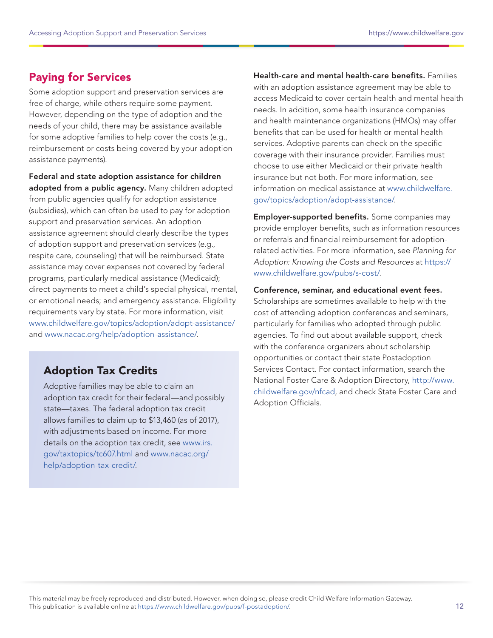### <span id="page-11-0"></span>Paying for Services

Some adoption support and preservation services are free of charge, while others require some payment. However, depending on the type of adoption and the needs of your child, there may be assistance available for some adoptive families to help cover the costs (e.g., reimbursement or costs being covered by your adoption assistance payments).

Federal and state adoption assistance for children adopted from a public agency. Many children adopted from public agencies qualify for adoption assistance (subsidies), which can often be used to pay for adoption support and preservation services. An adoption assistance agreement should clearly describe the types of adoption support and preservation services (e.g., respite care, counseling) that will be reimbursed. State assistance may cover expenses not covered by federal programs, particularly medical assistance (Medicaid); direct payments to meet a child's special physical, mental, or emotional needs; and emergency assistance. Eligibility requirements vary by state. For more information, visit [www.childwelfare.gov/topics/adoption/adopt-assistance/](http://www.childwelfare.gov/topics/adoption/adopt-assistance/) and [www.nacac.org/help/adoption-assistance/.](http://www.nacac.org/help/adoption-assistance/)

### Adoption Tax Credits

Adoptive families may be able to claim an adoption tax credit for their federal—and possibly state—taxes. The federal adoption tax credit allows families to claim up to \$13,460 (as of 2017), with adjustments based on income. For more details on the adoption tax credit, see [www.irs.](http://www.irs.gov/taxtopics/tc607.html) [gov/taxtopics/tc607.html](http://www.irs.gov/taxtopics/tc607.html) and [www.nacac.org/](http://www.nacac.org/help/adoption-tax-credit/) [help/adoption-tax-credit/.](http://www.nacac.org/help/adoption-tax-credit/)

Health-care and mental health-care benefits. Families with an adoption assistance agreement may be able to access Medicaid to cover certain health and mental health needs. In addition, some health insurance companies and health maintenance organizations (HMOs) may offer benefits that can be used for health or mental health services. Adoptive parents can check on the specific coverage with their insurance provider. Families must choose to use either Medicaid or their private health insurance but not both. For more information, see information on medical assistance at [www.childwelfare.](http://www.childwelfare.gov/topics/adoption/adopt-assistance/) [gov/topics/adoption/adopt-assistance/](http://www.childwelfare.gov/topics/adoption/adopt-assistance/).

Employer-supported benefits. Some companies may provide employer benefits, such as information resources or referrals and financial reimbursement for adoptionrelated activities. For more information, see Planning for Adoption: Knowing the Costs and Resources at [https://](https://www.childwelfare.gov/pubs/s-cost/) [www.childwelfare.gov/pubs/s-cost/](https://www.childwelfare.gov/pubs/s-cost/).

Conference, seminar, and educational event fees. Scholarships are sometimes available to help with the cost of attending adoption conferences and seminars, particularly for families who adopted through public agencies. To find out about available support, check with the conference organizers about scholarship opportunities or contact their state Postadoption Services Contact. For contact information, search the National Foster Care & Adoption Directory, [http://www.](http://www.childwelfare.gov/nfcad) [childwelfare.gov/nfcad](http://www.childwelfare.gov/nfcad), and check State Foster Care and Adoption Officials.